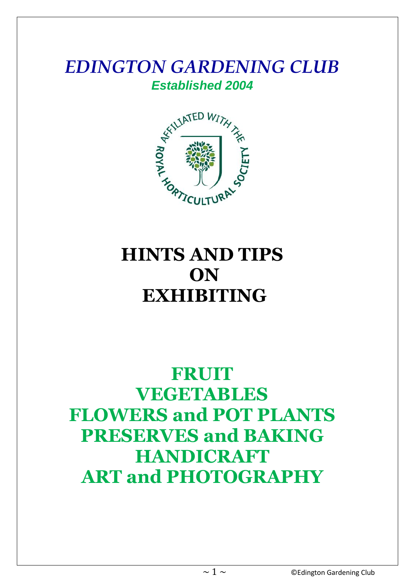# *EDINGTON GARDENING CLUB*



# **HINTS AND TIPS ON EXHIBITING**

# **FRUIT VEGETABLES FLOWERS and POT PLANTS PRESERVES and BAKING HANDICRAFT ART and PHOTOGRAPHY**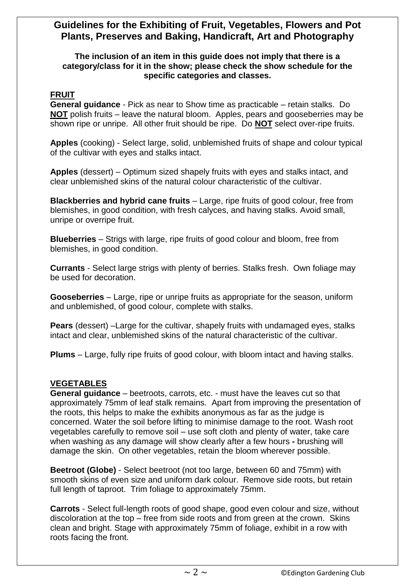# **Guidelines for the Exhibiting of Fruit, Vegetables, Flowers and Pot Plants, Preserves and Baking, Handicraft, Art and Photography**

#### **The inclusion of an item in this guide does not imply that there is a category/class for it in the show; please check the show schedule for the specific categories and classes.**

# **FRUIT**

**General guidance** - Pick as near to Show time as practicable – retain stalks. Do **NOT** polish fruits – leave the natural bloom. Apples, pears and gooseberries may be shown ripe or unripe. All other fruit should be ripe. Do **NOT** select over-ripe fruits.

**Apples** (cooking) - Select large, solid, unblemished fruits of shape and colour typical of the cultivar with eyes and stalks intact.

**Apples** (dessert) – Optimum sized shapely fruits with eyes and stalks intact, and clear unblemished skins of the natural colour characteristic of the cultivar.

**Blackberries and hybrid cane fruits** – Large, ripe fruits of good colour, free from blemishes, in good condition, with fresh calyces, and having stalks. Avoid small, unripe or overripe fruit.

**Blueberries** – Strigs with large, ripe fruits of good colour and bloom, free from blemishes, in good condition.

**Currants** - Select large strigs with plenty of berries. Stalks fresh. Own foliage may be used for decoration.

**Gooseberries** – Large, ripe or unripe fruits as appropriate for the season, uniform and unblemished, of good colour, complete with stalks.

**Pears** (dessert) –Large for the cultivar, shapely fruits with undamaged eyes, stalks intact and clear, unblemished skins of the natural characteristic of the cultivar.

**Plums** – Large, fully ripe fruits of good colour, with bloom intact and having stalks.

# **VEGETABLES**

**General guidance** – beetroots, carrots, etc. - must have the leaves cut so that approximately 75mm of leaf stalk remains. Apart from improving the presentation of the roots, this helps to make the exhibits anonymous as far as the judge is concerned. Water the soil before lifting to minimise damage to the root. Wash root vegetables carefully to remove soil – use soft cloth and plenty of water, take care when washing as any damage will show clearly after a few hours **-** brushing will damage the skin. On other vegetables, retain the bloom wherever possible.

**Beetroot (Globe)** - Select beetroot (not too large, between 60 and 75mm) with smooth skins of even size and uniform dark colour. Remove side roots, but retain full length of taproot. Trim foliage to approximately 75mm.

**Carrots** - Select full-length roots of good shape, good even colour and size, without discoloration at the top – free from side roots and from green at the crown. Skins clean and bright. Stage with approximately 75mm of foliage, exhibit in a row with roots facing the front.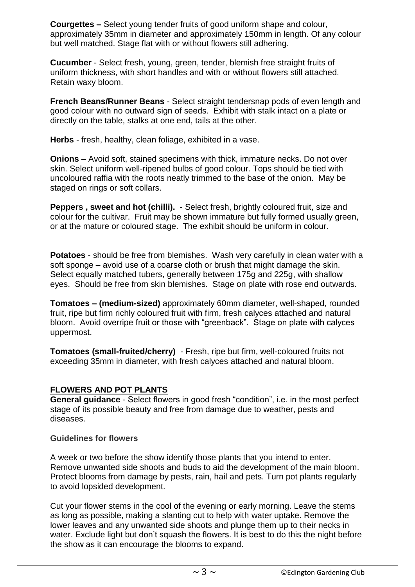**Courgettes –** Select young tender fruits of good uniform shape and colour, approximately 35mm in diameter and approximately 150mm in length. Of any colour but well matched. Stage flat with or without flowers still adhering.

**Cucumber** - Select fresh, young, green, tender, blemish free straight fruits of uniform thickness, with short handles and with or without flowers still attached. Retain waxy bloom.

**French Beans/Runner Beans** - Select straight tendersnap pods of even length and good colour with no outward sign of seeds. Exhibit with stalk intact on a plate or directly on the table, stalks at one end, tails at the other.

**Herbs** - fresh, healthy, clean foliage, exhibited in a vase.

**Onions** – Avoid soft, stained specimens with thick, immature necks. Do not over skin. Select uniform well-ripened bulbs of good colour. Tops should be tied with uncoloured raffia with the roots neatly trimmed to the base of the onion. May be staged on rings or soft collars.

**Peppers , sweet and hot (chilli).** - Select fresh, brightly coloured fruit, size and colour for the cultivar. Fruit may be shown immature but fully formed usually green, or at the mature or coloured stage. The exhibit should be uniform in colour.

**Potatoes** - should be free from blemishes. Wash very carefully in clean water with a soft sponge – avoid use of a coarse cloth or brush that might damage the skin. Select equally matched tubers, generally between 175g and 225g, with shallow eyes. Should be free from skin blemishes. Stage on plate with rose end outwards.

**Tomatoes – (medium-sized)** approximately 60mm diameter, well-shaped, rounded fruit, ripe but firm richly coloured fruit with firm, fresh calyces attached and natural bloom. Avoid overripe fruit or those with "greenback". Stage on plate with calyces uppermost.

**Tomatoes (small-fruited/cherry)** - Fresh, ripe but firm, well-coloured fruits not exceeding 35mm in diameter, with fresh calyces attached and natural bloom.

# **FLOWERS AND POT PLANTS**

**General guidance** - Select flowers in good fresh "condition", i.e. in the most perfect stage of its possible beauty and free from damage due to weather, pests and diseases.

#### **Guidelines for flowers**

A week or two before the show identify those plants that you intend to enter. Remove unwanted side shoots and buds to aid the development of the main bloom. Protect blooms from damage by pests, rain, hail and pets. Turn pot plants regularly to avoid lopsided development.

Cut your flower stems in the cool of the evening or early morning. Leave the stems as long as possible, making a slanting cut to help with water uptake. Remove the lower leaves and any unwanted side shoots and plunge them up to their necks in water. Exclude light but don't squash the flowers. It is best to do this the night before the show as it can encourage the blooms to expand.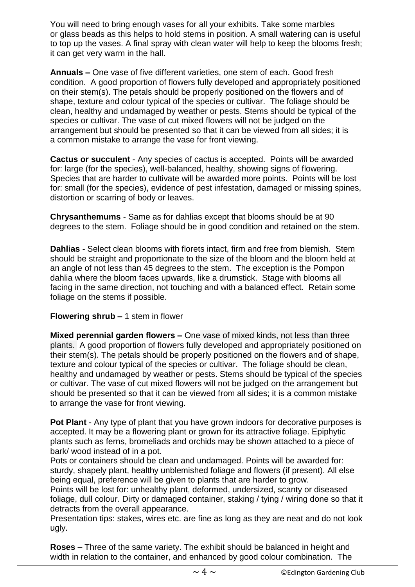You will need to bring enough vases for all your exhibits. Take some marbles or glass beads as this helps to hold stems in position. A small watering can is useful to top up the vases. A final spray with clean water will help to keep the blooms fresh; it can get very warm in the hall.

**Annuals –** One vase of five different varieties, one stem of each. Good fresh condition. A good proportion of flowers fully developed and appropriately positioned on their stem(s). The petals should be properly positioned on the flowers and of shape, texture and colour typical of the species or cultivar. The foliage should be clean, healthy and undamaged by weather or pests. Stems should be typical of the species or cultivar. The vase of cut mixed flowers will not be judged on the arrangement but should be presented so that it can be viewed from all sides; it is a common mistake to arrange the vase for front viewing.

**Cactus or succulent** - Any species of cactus is accepted. Points will be awarded for: large (for the species), well-balanced, healthy, showing signs of flowering. Species that are harder to cultivate will be awarded more points. Points will be lost for: small (for the species), evidence of pest infestation, damaged or missing spines, distortion or scarring of body or leaves.

**Chrysanthemums** - Same as for dahlias except that blooms should be at 90 degrees to the stem. Foliage should be in good condition and retained on the stem.

**Dahlias** - Select clean blooms with florets intact, firm and free from blemish. Stem should be straight and proportionate to the size of the bloom and the bloom held at an angle of not less than 45 degrees to the stem. The exception is the Pompon dahlia where the bloom faces upwards, like a drumstick. Stage with blooms all facing in the same direction, not touching and with a balanced effect. Retain some foliage on the stems if possible.

#### **Flowering shrub –** 1 stem in flower

**Mixed perennial garden flowers –** One vase of mixed kinds, not less than three plants. A good proportion of flowers fully developed and appropriately positioned on their stem(s). The petals should be properly positioned on the flowers and of shape, texture and colour typical of the species or cultivar. The foliage should be clean, healthy and undamaged by weather or pests. Stems should be typical of the species or cultivar. The vase of cut mixed flowers will not be judged on the arrangement but should be presented so that it can be viewed from all sides; it is a common mistake to arrange the vase for front viewing.

**Pot Plant** - Any type of plant that you have grown indoors for decorative purposes is accepted. It may be a flowering plant or grown for its attractive foliage. Epiphytic plants such as ferns, bromeliads and orchids may be shown attached to a piece of bark/ wood instead of in a pot.

Pots or containers should be clean and undamaged. Points will be awarded for: sturdy, shapely plant, healthy unblemished foliage and flowers (if present). All else being equal, preference will be given to plants that are harder to grow.

Points will be lost for: unhealthy plant, deformed, undersized, scanty or diseased foliage, dull colour. Dirty or damaged container, staking / tying / wiring done so that it detracts from the overall appearance.

Presentation tips: stakes, wires etc. are fine as long as they are neat and do not look ugly.

**Roses –** Three of the same variety. The exhibit should be balanced in height and width in relation to the container, and enhanced by good colour combination. The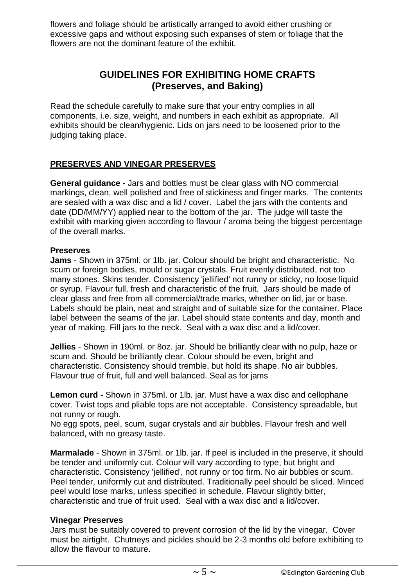flowers and foliage should be artistically arranged to avoid either crushing or excessive gaps and without exposing such expanses of stem or foliage that the flowers are not the dominant feature of the exhibit.

# **GUIDELINES FOR EXHIBITING HOME CRAFTS (Preserves, and Baking)**

Read the schedule carefully to make sure that your entry complies in all components, i.e. size, weight, and numbers in each exhibit as appropriate. All exhibits should be clean/hygienic. Lids on jars need to be loosened prior to the judging taking place.

# **PRESERVES AND VINEGAR PRESERVES**

**General guidance -** Jars and bottles must be clear glass with NO commercial markings, clean, well polished and free of stickiness and finger marks. The contents are sealed with a wax disc and a lid / cover. Label the jars with the contents and date (DD/MM/YY) applied near to the bottom of the jar. The judge will taste the exhibit with marking given according to flavour / aroma being the biggest percentage of the overall marks.

#### **Preserves**

**Jams** - Shown in 375ml. or 1lb. jar. Colour should be bright and characteristic. No scum or foreign bodies, mould or sugar crystals. Fruit evenly distributed, not too many stones. Skins tender. Consistency 'jellified' not runny or sticky, no loose liquid or syrup. Flavour full, fresh and characteristic of the fruit. Jars should be made of clear glass and free from all commercial/trade marks, whether on lid, jar or base. Labels should be plain, neat and straight and of suitable size for the container. Place label between the seams of the jar. Label should state contents and day, month and year of making. Fill jars to the neck. Seal with a wax disc and a lid/cover.

**Jellies** - Shown in 190ml. or 8oz. jar. Should be brilliantly clear with no pulp, haze or scum and. Should be brilliantly clear. Colour should be even, bright and characteristic. Consistency should tremble, but hold its shape. No air bubbles. Flavour true of fruit, full and well balanced. Seal as for jams

**Lemon curd -** Shown in 375ml. or 1lb. jar. Must have a wax disc and cellophane cover. Twist tops and pliable tops are not acceptable. Consistency spreadable, but not runny or rough.

No egg spots, peel, scum, sugar crystals and air bubbles. Flavour fresh and well balanced, with no greasy taste.

**Marmalade** - Shown in 375ml. or 1lb. jar. If peel is included in the preserve, it should be tender and uniformly cut. Colour will vary according to type, but bright and characteristic. Consistency 'jellified', not runny or too firm. No air bubbles or scum. Peel tender, uniformly cut and distributed. Traditionally peel should be sliced. Minced peel would lose marks, unless specified in schedule. Flavour slightly bitter, characteristic and true of fruit used. Seal with a wax disc and a lid/cover.

#### **Vinegar Preserves**

Jars must be suitably covered to prevent corrosion of the lid by the vinegar. Cover must be airtight. Chutneys and pickles should be 2-3 months old before exhibiting to allow the flavour to mature.